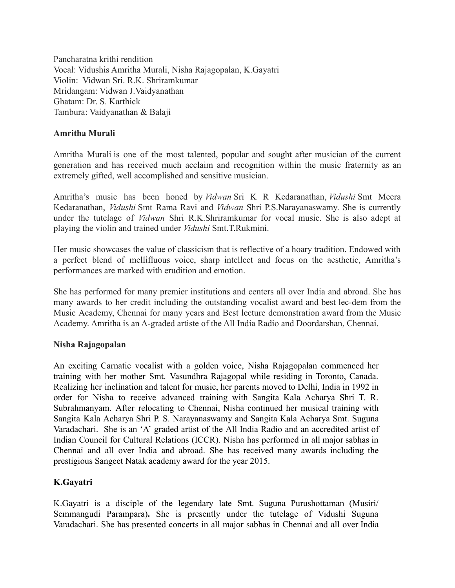Pancharatna krithi rendition Vocal: Vidushis Amritha Murali, Nisha Rajagopalan, K.Gayatri Violin: Vidwan Sri. R.K. Shriramkumar Mridangam: Vidwan J.Vaidyanathan Ghatam: Dr. S. Karthick Tambura: Vaidyanathan & Balaji

### **Amritha Murali**

Amritha Murali is one of the most talented, popular and sought after musician of the current generation and has received much acclaim and recognition within the music fraternity as an extremely gifted, well accomplished and sensitive musician.

Amritha's music has been honed by *Vidwan* Sri K R Kedaranathan, *Vidushi* Smt Meera Kedaranathan, *Vidushi* Smt Rama Ravi and *Vidwan* Shri P.S.Narayanaswamy. She is currently under the tutelage of *Vidwan* Shri R.K.Shriramkumar for vocal music. She is also adept at playing the violin and trained under *Vidushi* Smt.T.Rukmini.

Her music showcases the value of classicism that is reflective of a hoary tradition. Endowed with a perfect blend of mellifluous voice, sharp intellect and focus on the aesthetic, Amritha's performances are marked with erudition and emotion.

She has performed for many premier institutions and centers all over India and abroad. She has many awards to her credit including the outstanding vocalist award and best lec-dem from the Music Academy, Chennai for many years and Best lecture demonstration award from the Music Academy. Amritha is an A-graded artiste of the All India Radio and Doordarshan, Chennai.

## **Nisha Rajagopalan**

An exciting Carnatic vocalist with a golden voice, Nisha Rajagopalan commenced her training with her mother Smt. Vasundhra Rajagopal while residing in Toronto, Canada. Realizing her inclination and talent for music, her parents moved to Delhi, India in 1992 in order for Nisha to receive advanced training with Sangita Kala Acharya Shri T. R. Subrahmanyam. After relocating to Chennai, Nisha continued her musical training with Sangita Kala Acharya Shri P. S. Narayanaswamy and Sangita Kala Acharya Smt. Suguna Varadachari. She is an 'A' graded artist of the All India Radio and an accredited artist of Indian Council for Cultural Relations (ICCR). Nisha has performed in all major sabhas in Chennai and all over India and abroad. She has received many awards including the prestigious Sangeet Natak academy award for the year 2015.

## **K.Gayatri**

K.Gayatri is a disciple of the legendary late Smt. Suguna Purushottaman (Musiri/ Semmangudi Parampara)**.** She is presently under the tutelage of Vidushi Suguna Varadachari. She has presented concerts in all major sabhas in Chennai and all over India